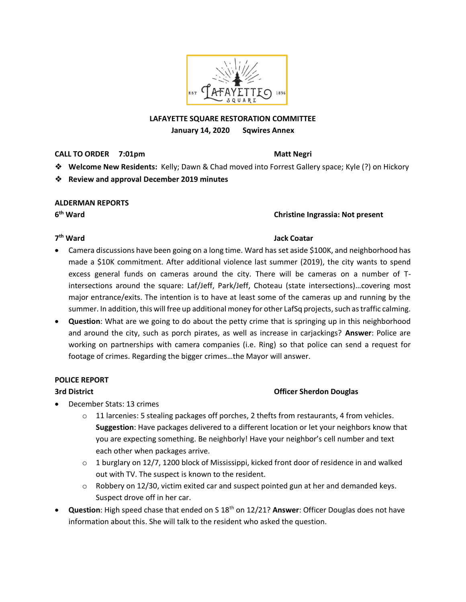

# **LAFAYETTE SQUARE RESTORATION COMMITTEE January 14, 2020 Sqwires Annex**

## **CALL TO ORDER 7:01pm Matt Negri**

- ❖ **Welcome New Residents:** Kelly; Dawn & Chad moved into Forrest Gallery space; Kyle (?) on Hickory
- ❖ **Review and approval December 2019 minutes**

## **ALDERMAN REPORTS**

 $6<sup>th</sup>$  Ward

## **Christine Ingrassia: Not present**

## 7<sup>th</sup> Ward

# **Jack Coatar**

- Camera discussions have been going on a long time. Ward has set aside \$100K, and neighborhood has made a \$10K commitment. After additional violence last summer (2019), the city wants to spend excess general funds on cameras around the city. There will be cameras on a number of Tintersections around the square: Laf/Jeff, Park/Jeff, Choteau (state intersections)…covering most major entrance/exits. The intention is to have at least some of the cameras up and running by the summer. In addition, this will free up additional money for other LafSq projects, such as traffic calming.
- **Question**: What are we going to do about the petty crime that is springing up in this neighborhood and around the city, such as porch pirates, as well as increase in carjackings? **Answer**: Police are working on partnerships with camera companies (i.e. Ring) so that police can send a request for footage of crimes. Regarding the bigger crimes…the Mayor will answer.

# **POLICE REPORT**

# **3rd District Community Community Community Community Community Community Community Community Community Community Community Community Community Community Community Community Community Community Community Community Communit**

- December Stats: 13 crimes
	- o 11 larcenies: 5 stealing packages off porches, 2 thefts from restaurants, 4 from vehicles. **Suggestion**: Have packages delivered to a different location or let your neighbors know that you are expecting something. Be neighborly! Have your neighbor's cell number and text each other when packages arrive.
	- $\circ$  1 burglary on 12/7, 1200 block of Mississippi, kicked front door of residence in and walked out with TV. The suspect is known to the resident.
	- $\circ$  Robbery on 12/30, victim exited car and suspect pointed gun at her and demanded keys. Suspect drove off in her car.
- **Question**: High speed chase that ended on S 18th on 12/21? **Answer**: Officer Douglas does not have information about this. She will talk to the resident who asked the question.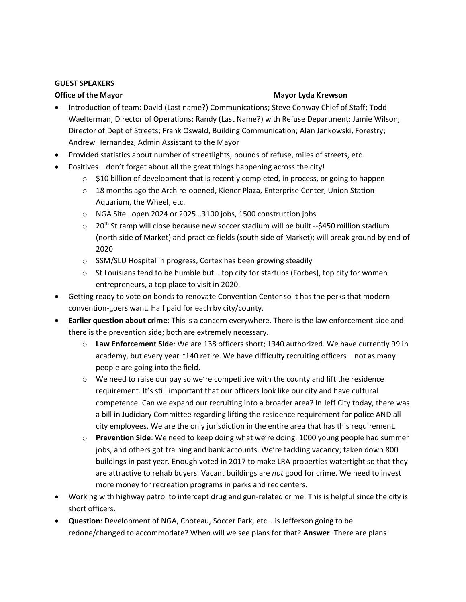## **GUEST SPEAKERS**

### **Office of the Mayor Mayor Channel Community Community Community Community Community Community Community Community Community Community Community Community Community Community Community Community Community Community Communi**

- Introduction of team: David (Last name?) Communications; Steve Conway Chief of Staff; Todd Waelterman, Director of Operations; Randy (Last Name?) with Refuse Department; Jamie Wilson, Director of Dept of Streets; Frank Oswald, Building Communication; Alan Jankowski, Forestry; Andrew Hernandez, Admin Assistant to the Mayor
- Provided statistics about number of streetlights, pounds of refuse, miles of streets, etc.
- Positives-don't forget about all the great things happening across the city!
	- $\circ$  \$10 billion of development that is recently completed, in process, or going to happen
	- o 18 months ago the Arch re-opened, Kiener Plaza, Enterprise Center, Union Station Aquarium, the Wheel, etc.
	- o NGA Site…open 2024 or 2025…3100 jobs, 1500 construction jobs
	- o 20<sup>th</sup> St ramp will close because new soccer stadium will be built --\$450 million stadium (north side of Market) and practice fields (south side of Market); will break ground by end of 2020
	- o SSM/SLU Hospital in progress, Cortex has been growing steadily
	- $\circ$  St Louisians tend to be humble but... top city for startups (Forbes), top city for women entrepreneurs, a top place to visit in 2020.
- Getting ready to vote on bonds to renovate Convention Center so it has the perks that modern convention-goers want. Half paid for each by city/county.
- **Earlier question about crime**: This is a concern everywhere. There is the law enforcement side and there is the prevention side; both are extremely necessary.
	- o **Law Enforcement Side**: We are 138 officers short; 1340 authorized. We have currently 99 in academy, but every year ~140 retire. We have difficulty recruiting officers—not as many people are going into the field.
	- $\circ$  We need to raise our pay so we're competitive with the county and lift the residence requirement. It's still important that our officers look like our city and have cultural competence. Can we expand our recruiting into a broader area? In Jeff City today, there was a bill in Judiciary Committee regarding lifting the residence requirement for police AND all city employees. We are the only jurisdiction in the entire area that has this requirement.
	- o **Prevention Side**: We need to keep doing what we're doing. 1000 young people had summer jobs, and others got training and bank accounts. We're tackling vacancy; taken down 800 buildings in past year. Enough voted in 2017 to make LRA properties watertight so that they are attractive to rehab buyers. Vacant buildings are *not* good for crime. We need to invest more money for recreation programs in parks and rec centers.
- Working with highway patrol to intercept drug and gun-related crime. This is helpful since the city is short officers.
- **Question**: Development of NGA, Choteau, Soccer Park, etc….is Jefferson going to be redone/changed to accommodate? When will we see plans for that? **Answer**: There are plans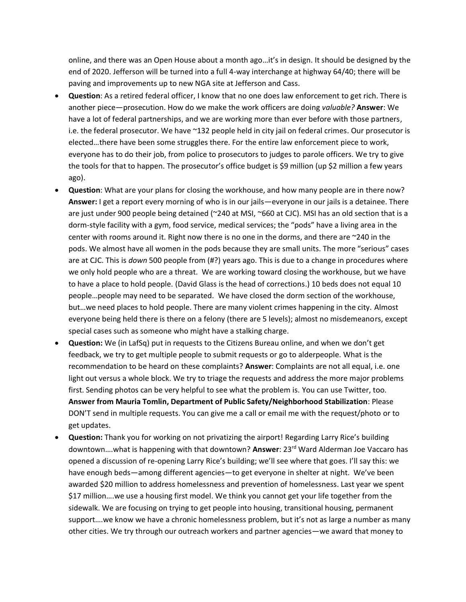online, and there was an Open House about a month ago…it's in design. It should be designed by the end of 2020. Jefferson will be turned into a full 4-way interchange at highway 64/40; there will be paving and improvements up to new NGA site at Jefferson and Cass.

- **Question**: As a retired federal officer, I know that no one does law enforcement to get rich. There is another piece—prosecution. How do we make the work officers are doing *valuable?* **Answer**: We have a lot of federal partnerships, and we are working more than ever before with those partners, i.e. the federal prosecutor. We have ~132 people held in city jail on federal crimes. Our prosecutor is elected…there have been some struggles there. For the entire law enforcement piece to work, everyone has to do their job, from police to prosecutors to judges to parole officers. We try to give the tools for that to happen. The prosecutor's office budget is \$9 million (up \$2 million a few years ago).
- **Question**: What are your plans for closing the workhouse, and how many people are in there now? **Answer:** I get a report every morning of who is in our jails—everyone in our jails is a detainee. There are just under 900 people being detained (~240 at MSI, ~660 at CJC). MSI has an old section that is a dorm-style facility with a gym, food service, medical services; the "pods" have a living area in the center with rooms around it. Right now there is no one in the dorms, and there are ~240 in the pods. We almost have all women in the pods because they are small units. The more "serious" cases are at CJC. This is *down* 500 people from (#?) years ago. This is due to a change in procedures where we only hold people who are a threat. We are working toward closing the workhouse, but we have to have a place to hold people. (David Glass is the head of corrections.) 10 beds does not equal 10 people…people may need to be separated. We have closed the dorm section of the workhouse, but…we need places to hold people. There are many violent crimes happening in the city. Almost everyone being held there is there on a felony (there are 5 levels); almost no misdemeanors, except special cases such as someone who might have a stalking charge.
- **Question:** We (in LafSq) put in requests to the Citizens Bureau online, and when we don't get feedback, we try to get multiple people to submit requests or go to alderpeople. What is the recommendation to be heard on these complaints? **Answer**: Complaints are not all equal, i.e. one light out versus a whole block. We try to triage the requests and address the more major problems first. Sending photos can be very helpful to see what the problem is. You can use Twitter, too. **Answer from Mauria Tomlin, Department of Public Safety/Neighborhood Stabilization**: Please DON'T send in multiple requests. You can give me a call or email me with the request/photo or to get updates.
- **Question:** Thank you for working on not privatizing the airport! Regarding Larry Rice's building downtown….what is happening with that downtown? **Answer**: 23rd Ward Alderman Joe Vaccaro has opened a discussion of re-opening Larry Rice's building; we'll see where that goes. I'll say this: we have enough beds—among different agencies—to get everyone in shelter at night. We've been awarded \$20 million to address homelessness and prevention of homelessness. Last year we spent \$17 million….we use a housing first model. We think you cannot get your life together from the sidewalk. We are focusing on trying to get people into housing, transitional housing, permanent support….we know we have a chronic homelessness problem, but it's not as large a number as many other cities. We try through our outreach workers and partner agencies—we award that money to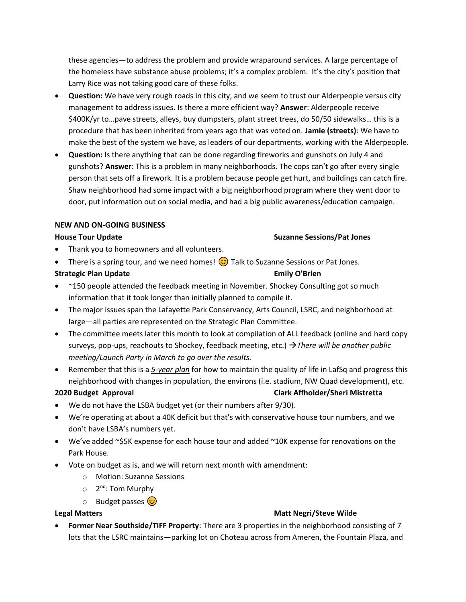these agencies—to address the problem and provide wraparound services. A large percentage of the homeless have substance abuse problems; it's a complex problem. It's the city's position that Larry Rice was not taking good care of these folks.

- **Question:** We have very rough roads in this city, and we seem to trust our Alderpeople versus city management to address issues. Is there a more efficient way? **Answer**: Alderpeople receive \$400K/yr to…pave streets, alleys, buy dumpsters, plant street trees, do 50/50 sidewalks… this is a procedure that has been inherited from years ago that was voted on. **Jamie (streets)**: We have to make the best of the system we have, as leaders of our departments, working with the Alderpeople.
- **Question:** Is there anything that can be done regarding fireworks and gunshots on July 4 and gunshots? **Answer**: This is a problem in many neighborhoods. The cops can't go after every single person that sets off a firework. It is a problem because people get hurt, and buildings can catch fire. Shaw neighborhood had some impact with a big neighborhood program where they went door to door, put information out on social media, and had a big public awareness/education campaign.

## **NEW AND ON-GOING BUSINESS**

# **House Tour Update Suzanne Sessions/Pat Jones**

- Thank you to homeowners and all volunteers.
- There is a spring tour, and we need homes!  $\odot$  Talk to Suzanne Sessions or Pat Jones.
- **Strategic Plan Update Emily O'Brien**
- ~150 people attended the feedback meeting in November. Shockey Consulting got so much information that it took longer than initially planned to compile it.
- The major issues span the Lafayette Park Conservancy, Arts Council, LSRC, and neighborhood at large—all parties are represented on the Strategic Plan Committee.
- The committee meets later this month to look at compilation of ALL feedback (online and hard copy surveys, pop-ups, reachouts to Shockey, feedback meeting, etc.) →*There will be another public meeting/Launch Party in March to go over the results.*
- Remember that this is a *5-year plan* for how to maintain the quality of life in LafSq and progress this neighborhood with changes in population, the environs (i.e. stadium, NW Quad development), etc.

- We do not have the LSBA budget yet (or their numbers after 9/30).
- We're operating at about a 40K deficit but that's with conservative house tour numbers, and we don't have LSBA's numbers yet.
- We've added ~\$5K expense for each house tour and added ~10K expense for renovations on the Park House.
- Vote on budget as is, and we will return next month with amendment:
	- o Motion: Suzanne Sessions
	- o 2<sup>nd</sup>: Tom Murphy
	- $\circ$  Budget passes  $\circledcirc$

# **Legal Matters Matters Matt Negri/Steve Wilde**

• **Former Near Southside/TIFF Property**: There are 3 properties in the neighborhood consisting of 7 lots that the LSRC maintains—parking lot on Choteau across from Ameren, the Fountain Plaza, and

### **2020 Budget Approval Clark Affholder/Sheri Mistretta**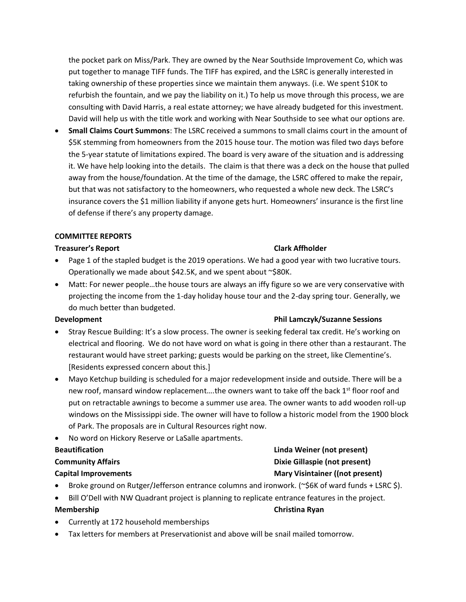the pocket park on Miss/Park. They are owned by the Near Southside Improvement Co, which was put together to manage TIFF funds. The TIFF has expired, and the LSRC is generally interested in taking ownership of these properties since we maintain them anyways. (i.e. We spent \$10K to refurbish the fountain, and we pay the liability on it.) To help us move through this process, we are consulting with David Harris, a real estate attorney; we have already budgeted for this investment. David will help us with the title work and working with Near Southside to see what our options are.

• **Small Claims Court Summons**: The LSRC received a summons to small claims court in the amount of \$5K stemming from homeowners from the 2015 house tour. The motion was filed two days before the 5-year statute of limitations expired. The board is very aware of the situation and is addressing it. We have help looking into the details. The claim is that there was a deck on the house that pulled away from the house/foundation. At the time of the damage, the LSRC offered to make the repair, but that was not satisfactory to the homeowners, who requested a whole new deck. The LSRC's insurance covers the \$1 million liability if anyone gets hurt. Homeowners' insurance is the first line of defense if there's any property damage.

## **COMMITTEE REPORTS**

### **Treasurer's Report Clark Affholder**

- Page 1 of the stapled budget is the 2019 operations. We had a good year with two lucrative tours. Operationally we made about \$42.5K, and we spent about ~\$80K.
- Matt: For newer people...the house tours are always an iffy figure so we are very conservative with projecting the income from the 1-day holiday house tour and the 2-day spring tour. Generally, we do much better than budgeted.

- Stray Rescue Building: It's a slow process. The owner is seeking federal tax credit. He's working on electrical and flooring. We do not have word on what is going in there other than a restaurant. The restaurant would have street parking; guests would be parking on the street, like Clementine's. [Residents expressed concern about this.]
- Mayo Ketchup building is scheduled for a major redevelopment inside and outside. There will be a new roof, mansard window replacement....the owners want to take off the back 1<sup>st</sup> floor roof and put on retractable awnings to become a summer use area. The owner wants to add wooden roll-up windows on the Mississippi side. The owner will have to follow a historic model from the 1900 block of Park. The proposals are in Cultural Resources right now.
- No word on Hickory Reserve or LaSalle apartments.

- Broke ground on Rutger/Jefferson entrance columns and ironwork. (~\$6K of ward funds + LSRC \$).
- Bill O'Dell with NW Quadrant project is planning to replicate entrance features in the project.

- Currently at 172 household memberships
- Tax letters for members at Preservationist and above will be snail mailed tomorrow.

# **Development Phil Lamczyk/Suzanne Sessions**

# **Beautification Linda Weiner (not present) Community Affairs Dixie Gillaspie (not present) Capital Improvements Mary Visintainer ((not present)**

# **Membership Christina Ryan**